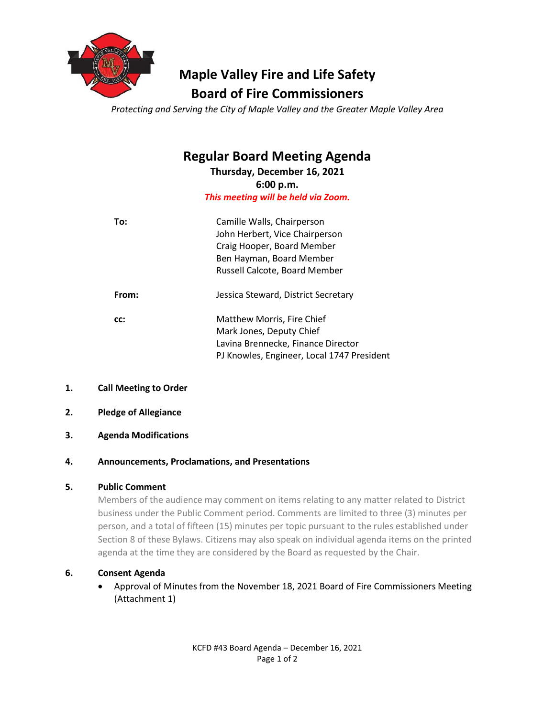

# **Maple Valley Fire and Life Safety Board of Fire Commissioners**

*Protecting and Serving the City of Maple Valley and the Greater Maple Valley Area*

# **Regular Board Meeting Agenda**

**Thursday, December 16, 2021 6:00 p.m.** *This meeting will be held via Zoom.*

| To:   | Camille Walls, Chairperson<br>John Herbert, Vice Chairperson<br>Craig Hooper, Board Member<br>Ben Hayman, Board Member<br>Russell Calcote, Board Member |
|-------|---------------------------------------------------------------------------------------------------------------------------------------------------------|
| From: | Jessica Steward, District Secretary                                                                                                                     |
| CC:   | Matthew Morris, Fire Chief<br>Mark Jones, Deputy Chief<br>Lavina Brennecke, Finance Director<br>PJ Knowles, Engineer, Local 1747 President              |

# **1. Call Meeting to Order**

- **2. Pledge of Allegiance**
- **3. Agenda Modifications**

# **4. Announcements, Proclamations, and Presentations**

# **5. Public Comment**

Members of the audience may comment on items relating to any matter related to District business under the Public Comment period. Comments are limited to three (3) minutes per person, and a total of fifteen (15) minutes per topic pursuant to the rules established under Section 8 of these Bylaws. Citizens may also speak on individual agenda items on the printed agenda at the time they are considered by the Board as requested by the Chair.

# **6. Consent Agenda**

• Approval of Minutes from the November 18, 2021 Board of Fire Commissioners Meeting (Attachment 1)